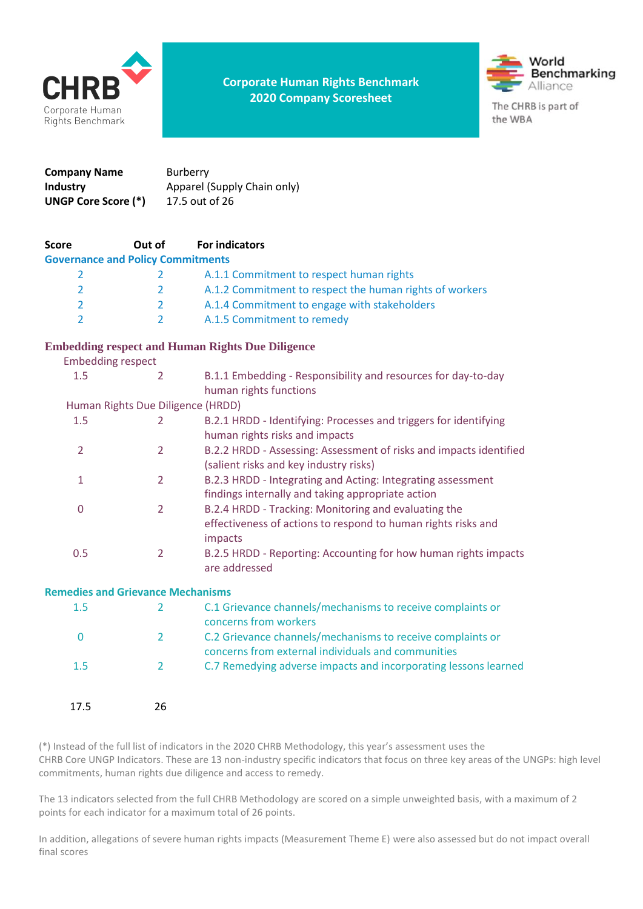

**Corporate Human Rights Benchmark 2020 Company Scoresheet**



| Company Name               | <b>Burberry</b>             |
|----------------------------|-----------------------------|
| Industry                   | Apparel (Supply Chain only) |
| <b>UNGP Core Score (*)</b> | 17.5 out of 26              |

| <b>Score</b>                             | Out of         | <b>For indicators</b>                                                                                                            |  |
|------------------------------------------|----------------|----------------------------------------------------------------------------------------------------------------------------------|--|
| <b>Governance and Policy Commitments</b> |                |                                                                                                                                  |  |
| $\overline{2}$                           | 2              | A.1.1 Commitment to respect human rights                                                                                         |  |
| 2                                        | $\overline{2}$ | A.1.2 Commitment to respect the human rights of workers                                                                          |  |
| $\overline{2}$                           | $\overline{2}$ | A.1.4 Commitment to engage with stakeholders                                                                                     |  |
| $\overline{2}$                           | $\overline{2}$ | A.1.5 Commitment to remedy                                                                                                       |  |
|                                          |                | <b>Embedding respect and Human Rights Due Diligence</b>                                                                          |  |
| <b>Embedding respect</b>                 |                |                                                                                                                                  |  |
| 1.5                                      | 2              | B.1.1 Embedding - Responsibility and resources for day-to-day<br>human rights functions                                          |  |
| Human Rights Due Diligence (HRDD)        |                |                                                                                                                                  |  |
| 1.5                                      | 2              | B.2.1 HRDD - Identifying: Processes and triggers for identifying<br>human rights risks and impacts                               |  |
| $\overline{2}$                           | $\overline{2}$ | B.2.2 HRDD - Assessing: Assessment of risks and impacts identified<br>(salient risks and key industry risks)                     |  |
| 1                                        | $\overline{2}$ | B.2.3 HRDD - Integrating and Acting: Integrating assessment<br>findings internally and taking appropriate action                 |  |
| $\pmb{0}$                                | $\overline{2}$ | B.2.4 HRDD - Tracking: Monitoring and evaluating the<br>effectiveness of actions to respond to human rights risks and<br>impacts |  |
| 0.5                                      | $\overline{2}$ | B.2.5 HRDD - Reporting: Accounting for how human rights impacts<br>are addressed                                                 |  |
| <b>Remedies and Grievance Mechanisms</b> |                |                                                                                                                                  |  |
| 1.5                                      | 2              | C.1 Grievance channels/mechanisms to receive complaints or<br>concerns from workers                                              |  |
| 0                                        | $\overline{2}$ | C.2 Grievance channels/mechanisms to receive complaints or<br>concerns from external individuals and communities                 |  |
| 1.5                                      | $\overline{2}$ | C.7 Remedying adverse impacts and incorporating lessons learned                                                                  |  |

(\*) Instead of the full list of indicators in the 2020 CHRB Methodology, this year's assessment uses the CHRB Core UNGP Indicators. These are 13 non-industry specific indicators that focus on three key areas of the UNGPs: high level commitments, human rights due diligence and access to remedy.

The 13 indicators selected from the full CHRB Methodology are scored on a simple unweighted basis, with a maximum of 2 points for each indicator for a maximum total of 26 points.

In addition, allegations of severe human rights impacts (Measurement Theme E) were also assessed but do not impact overall final scores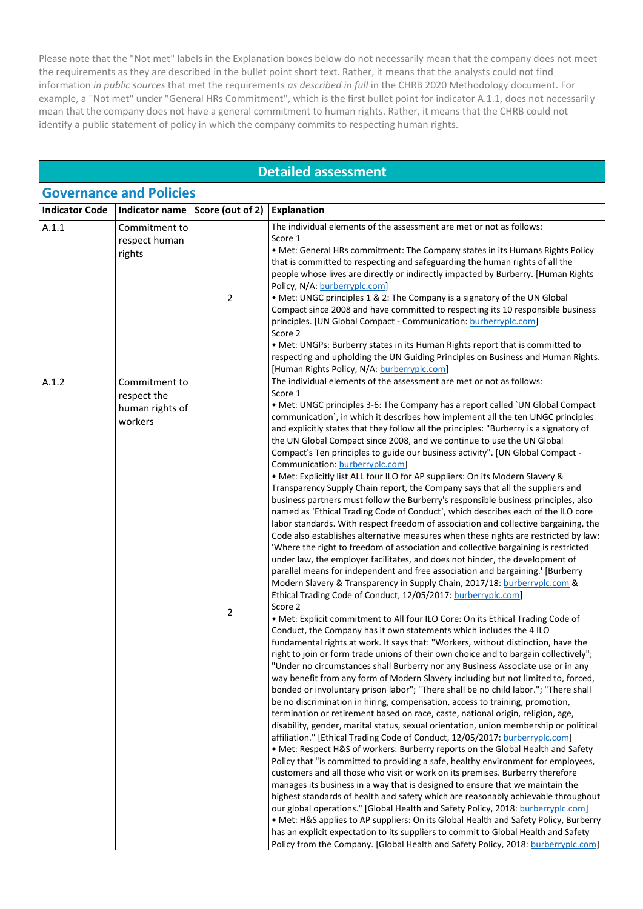Please note that the "Not met" labels in the Explanation boxes below do not necessarily mean that the company does not meet the requirements as they are described in the bullet point short text. Rather, it means that the analysts could not find information *in public sources* that met the requirements *as described in full* in the CHRB 2020 Methodology document. For example, a "Not met" under "General HRs Commitment", which is the first bullet point for indicator A.1.1, does not necessarily mean that the company does not have a general commitment to human rights. Rather, it means that the CHRB could not identify a public statement of policy in which the company commits to respecting human rights.

#### **Detailed assessment**

|                       | <b>Governance and Policies</b>                             |                  |                                                                                                                                                                                                                                                                                                                                                                                                                                                                                                                                                                                                                                                                                                                                                                                                                                                                                                                                                                                                                                                                                                                                                                                                                                                                                                                                                                                                                                                                                                                                                                                                                                                                                                                                                                                                                                                                                                                                                                                                                                                                                                                                                                                                                                                                                                                                                                                                                                                                                                                                                                                                                                                                                                                                                                                                                                                                                                                                                                                                                                                                                                                                                                                            |  |  |
|-----------------------|------------------------------------------------------------|------------------|--------------------------------------------------------------------------------------------------------------------------------------------------------------------------------------------------------------------------------------------------------------------------------------------------------------------------------------------------------------------------------------------------------------------------------------------------------------------------------------------------------------------------------------------------------------------------------------------------------------------------------------------------------------------------------------------------------------------------------------------------------------------------------------------------------------------------------------------------------------------------------------------------------------------------------------------------------------------------------------------------------------------------------------------------------------------------------------------------------------------------------------------------------------------------------------------------------------------------------------------------------------------------------------------------------------------------------------------------------------------------------------------------------------------------------------------------------------------------------------------------------------------------------------------------------------------------------------------------------------------------------------------------------------------------------------------------------------------------------------------------------------------------------------------------------------------------------------------------------------------------------------------------------------------------------------------------------------------------------------------------------------------------------------------------------------------------------------------------------------------------------------------------------------------------------------------------------------------------------------------------------------------------------------------------------------------------------------------------------------------------------------------------------------------------------------------------------------------------------------------------------------------------------------------------------------------------------------------------------------------------------------------------------------------------------------------------------------------------------------------------------------------------------------------------------------------------------------------------------------------------------------------------------------------------------------------------------------------------------------------------------------------------------------------------------------------------------------------------------------------------------------------------------------------------------------------|--|--|
| <b>Indicator Code</b> | Indicator name                                             | Score (out of 2) | <b>Explanation</b>                                                                                                                                                                                                                                                                                                                                                                                                                                                                                                                                                                                                                                                                                                                                                                                                                                                                                                                                                                                                                                                                                                                                                                                                                                                                                                                                                                                                                                                                                                                                                                                                                                                                                                                                                                                                                                                                                                                                                                                                                                                                                                                                                                                                                                                                                                                                                                                                                                                                                                                                                                                                                                                                                                                                                                                                                                                                                                                                                                                                                                                                                                                                                                         |  |  |
| A.1.1                 | Commitment to<br>respect human<br>rights                   | $\overline{2}$   | The individual elements of the assessment are met or not as follows:<br>Score 1<br>• Met: General HRs commitment: The Company states in its Humans Rights Policy<br>that is committed to respecting and safeguarding the human rights of all the<br>people whose lives are directly or indirectly impacted by Burberry. [Human Rights<br>Policy, N/A: burberryplc.com]<br>• Met: UNGC principles 1 & 2: The Company is a signatory of the UN Global<br>Compact since 2008 and have committed to respecting its 10 responsible business<br>principles. [UN Global Compact - Communication: burberryplc.com]<br>Score 2<br>. Met: UNGPs: Burberry states in its Human Rights report that is committed to<br>respecting and upholding the UN Guiding Principles on Business and Human Rights.                                                                                                                                                                                                                                                                                                                                                                                                                                                                                                                                                                                                                                                                                                                                                                                                                                                                                                                                                                                                                                                                                                                                                                                                                                                                                                                                                                                                                                                                                                                                                                                                                                                                                                                                                                                                                                                                                                                                                                                                                                                                                                                                                                                                                                                                                                                                                                                                 |  |  |
| A.1.2                 | Commitment to<br>respect the<br>human rights of<br>workers | 2                | [Human Rights Policy, N/A: burberryplc.com]<br>The individual elements of the assessment are met or not as follows:<br>Score 1<br>• Met: UNGC principles 3-6: The Company has a report called `UN Global Compact<br>communication', in which it describes how implement all the ten UNGC principles<br>and explicitly states that they follow all the principles: "Burberry is a signatory of<br>the UN Global Compact since 2008, and we continue to use the UN Global<br>Compact's Ten principles to guide our business activity". [UN Global Compact -<br>Communication: burberryplc.com]<br>. Met: Explicitly list ALL four ILO for AP suppliers: On its Modern Slavery &<br>Transparency Supply Chain report, the Company says that all the suppliers and<br>business partners must follow the Burberry's responsible business principles, also<br>named as `Ethical Trading Code of Conduct`, which describes each of the ILO core<br>labor standards. With respect freedom of association and collective bargaining, the<br>Code also establishes alternative measures when these rights are restricted by law:<br>'Where the right to freedom of association and collective bargaining is restricted<br>under law, the employer facilitates, and does not hinder, the development of<br>parallel means for independent and free association and bargaining.' [Burberry<br>Modern Slavery & Transparency in Supply Chain, 2017/18: burberryplc.com &<br>Ethical Trading Code of Conduct, 12/05/2017: burberryplc.com]<br>Score 2<br>. Met: Explicit commitment to All four ILO Core: On its Ethical Trading Code of<br>Conduct, the Company has it own statements which includes the 4 ILO<br>fundamental rights at work. It says that: "Workers, without distinction, have the<br>right to join or form trade unions of their own choice and to bargain collectively";<br>"Under no circumstances shall Burberry nor any Business Associate use or in any<br>way benefit from any form of Modern Slavery including but not limited to, forced,<br>bonded or involuntary prison labor"; "There shall be no child labor."; "There shall<br>be no discrimination in hiring, compensation, access to training, promotion,<br>termination or retirement based on race, caste, national origin, religion, age,<br>disability, gender, marital status, sexual orientation, union membership or political<br>affiliation." [Ethical Trading Code of Conduct, 12/05/2017: burberryplc.com]<br>• Met: Respect H&S of workers: Burberry reports on the Global Health and Safety<br>Policy that "is committed to providing a safe, healthy environment for employees,<br>customers and all those who visit or work on its premises. Burberry therefore<br>manages its business in a way that is designed to ensure that we maintain the<br>highest standards of health and safety which are reasonably achievable throughout<br>our global operations." [Global Health and Safety Policy, 2018: burberryplc.com]<br>• Met: H&S applies to AP suppliers: On its Global Health and Safety Policy, Burberry<br>has an explicit expectation to its suppliers to commit to Global Health and Safety |  |  |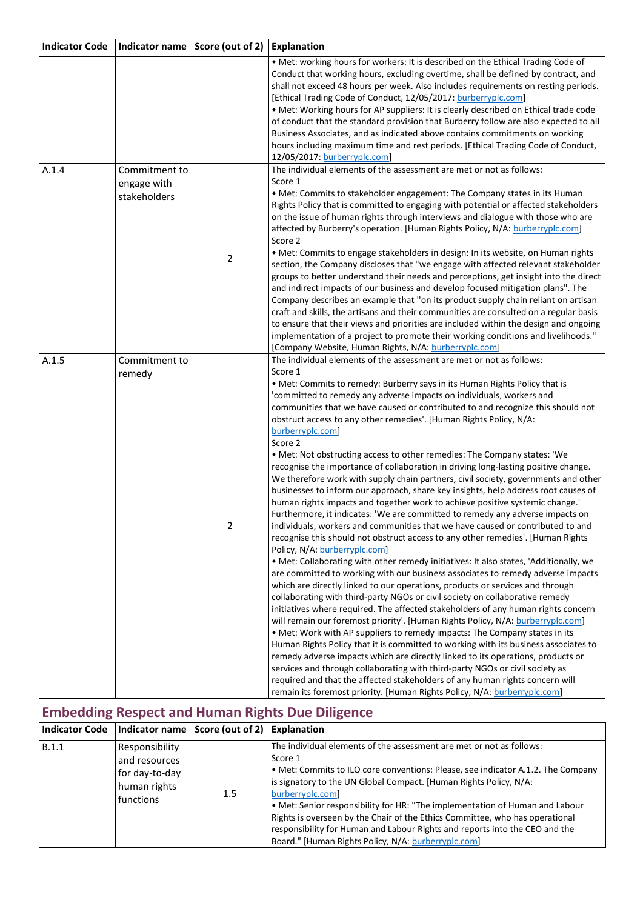| <b>Indicator Code</b> |                                              | Indicator name Score (out of 2) | <b>Explanation</b>                                                                                                                                                                                                                                                                                                                                                                                                                                                                                                                                                                                                                                                                                                                                                                                                                                                                                                                                                                                                                                                                                                                                                                                                                                                                                                                                                                                                                                                                                                                                                                                                                                                                                                                                                                                                                                                                                                                                                                                                                                                                                                                                                           |
|-----------------------|----------------------------------------------|---------------------------------|------------------------------------------------------------------------------------------------------------------------------------------------------------------------------------------------------------------------------------------------------------------------------------------------------------------------------------------------------------------------------------------------------------------------------------------------------------------------------------------------------------------------------------------------------------------------------------------------------------------------------------------------------------------------------------------------------------------------------------------------------------------------------------------------------------------------------------------------------------------------------------------------------------------------------------------------------------------------------------------------------------------------------------------------------------------------------------------------------------------------------------------------------------------------------------------------------------------------------------------------------------------------------------------------------------------------------------------------------------------------------------------------------------------------------------------------------------------------------------------------------------------------------------------------------------------------------------------------------------------------------------------------------------------------------------------------------------------------------------------------------------------------------------------------------------------------------------------------------------------------------------------------------------------------------------------------------------------------------------------------------------------------------------------------------------------------------------------------------------------------------------------------------------------------------|
|                       |                                              |                                 | . Met: working hours for workers: It is described on the Ethical Trading Code of<br>Conduct that working hours, excluding overtime, shall be defined by contract, and<br>shall not exceed 48 hours per week. Also includes requirements on resting periods.<br>[Ethical Trading Code of Conduct, 12/05/2017: burberryplc.com]<br>. Met: Working hours for AP suppliers: It is clearly described on Ethical trade code<br>of conduct that the standard provision that Burberry follow are also expected to all<br>Business Associates, and as indicated above contains commitments on working<br>hours including maximum time and rest periods. [Ethical Trading Code of Conduct,<br>12/05/2017: burberryplc.com]                                                                                                                                                                                                                                                                                                                                                                                                                                                                                                                                                                                                                                                                                                                                                                                                                                                                                                                                                                                                                                                                                                                                                                                                                                                                                                                                                                                                                                                             |
| A.1.4                 | Commitment to<br>engage with<br>stakeholders | 2                               | The individual elements of the assessment are met or not as follows:<br>Score 1<br>• Met: Commits to stakeholder engagement: The Company states in its Human<br>Rights Policy that is committed to engaging with potential or affected stakeholders<br>on the issue of human rights through interviews and dialogue with those who are<br>affected by Burberry's operation. [Human Rights Policy, N/A: burberryplc.com]<br>Score 2<br>. Met: Commits to engage stakeholders in design: In its website, on Human rights<br>section, the Company discloses that "we engage with affected relevant stakeholder<br>groups to better understand their needs and perceptions, get insight into the direct                                                                                                                                                                                                                                                                                                                                                                                                                                                                                                                                                                                                                                                                                                                                                                                                                                                                                                                                                                                                                                                                                                                                                                                                                                                                                                                                                                                                                                                                          |
|                       |                                              |                                 | and indirect impacts of our business and develop focused mitigation plans". The<br>Company describes an example that "on its product supply chain reliant on artisan<br>craft and skills, the artisans and their communities are consulted on a regular basis<br>to ensure that their views and priorities are included within the design and ongoing<br>implementation of a project to promote their working conditions and livelihoods."<br>[Company Website, Human Rights, N/A: burberryplc.com]                                                                                                                                                                                                                                                                                                                                                                                                                                                                                                                                                                                                                                                                                                                                                                                                                                                                                                                                                                                                                                                                                                                                                                                                                                                                                                                                                                                                                                                                                                                                                                                                                                                                          |
| A.1.5                 | Commitment to<br>remedy                      | 2                               | The individual elements of the assessment are met or not as follows:<br>Score 1<br>. Met: Commits to remedy: Burberry says in its Human Rights Policy that is<br>'committed to remedy any adverse impacts on individuals, workers and<br>communities that we have caused or contributed to and recognize this should not<br>obstruct access to any other remedies'. [Human Rights Policy, N/A:<br>burberryplc.com]<br>Score 2<br>. Met: Not obstructing access to other remedies: The Company states: 'We<br>recognise the importance of collaboration in driving long-lasting positive change.<br>We therefore work with supply chain partners, civil society, governments and other<br>businesses to inform our approach, share key insights, help address root causes of<br>human rights impacts and together work to achieve positive systemic change.'<br>Furthermore, it indicates: 'We are committed to remedy any adverse impacts on<br>individuals, workers and communities that we have caused or contributed to and<br>recognise this should not obstruct access to any other remedies'. [Human Rights<br>Policy, N/A: burberryplc.com]<br>. Met: Collaborating with other remedy initiatives: It also states, 'Additionally, we<br>are committed to working with our business associates to remedy adverse impacts<br>which are directly linked to our operations, products or services and through<br>collaborating with third-party NGOs or civil society on collaborative remedy<br>initiatives where required. The affected stakeholders of any human rights concern<br>will remain our foremost priority'. [Human Rights Policy, N/A: burberryplc.com]<br>. Met: Work with AP suppliers to remedy impacts: The Company states in its<br>Human Rights Policy that it is committed to working with its business associates to<br>remedy adverse impacts which are directly linked to its operations, products or<br>services and through collaborating with third-party NGOs or civil society as<br>required and that the affected stakeholders of any human rights concern will<br>remain its foremost priority. [Human Rights Policy, N/A: burberryplc.com] |

# **Embedding Respect and Human Rights Due Diligence**

|       |                                                                                | Indicator Code   Indicator name   Score (out of 2)   Explanation |                                                                                                                                                                                                                                                                                                                                                                                                                                                                                                                                                                    |
|-------|--------------------------------------------------------------------------------|------------------------------------------------------------------|--------------------------------------------------------------------------------------------------------------------------------------------------------------------------------------------------------------------------------------------------------------------------------------------------------------------------------------------------------------------------------------------------------------------------------------------------------------------------------------------------------------------------------------------------------------------|
| B.1.1 | Responsibility<br>and resources<br>for day-to-day<br>human rights<br>functions | $1.5\,$                                                          | The individual elements of the assessment are met or not as follows:<br>Score 1<br>• Met: Commits to ILO core conventions: Please, see indicator A.1.2. The Company<br>is signatory to the UN Global Compact. [Human Rights Policy, N/A:<br>burberryplc.com]<br>. Met: Senior responsibility for HR: "The implementation of Human and Labour<br>Rights is overseen by the Chair of the Ethics Committee, who has operational<br>responsibility for Human and Labour Rights and reports into the CEO and the<br>Board." [Human Rights Policy, N/A: burberryplc.com] |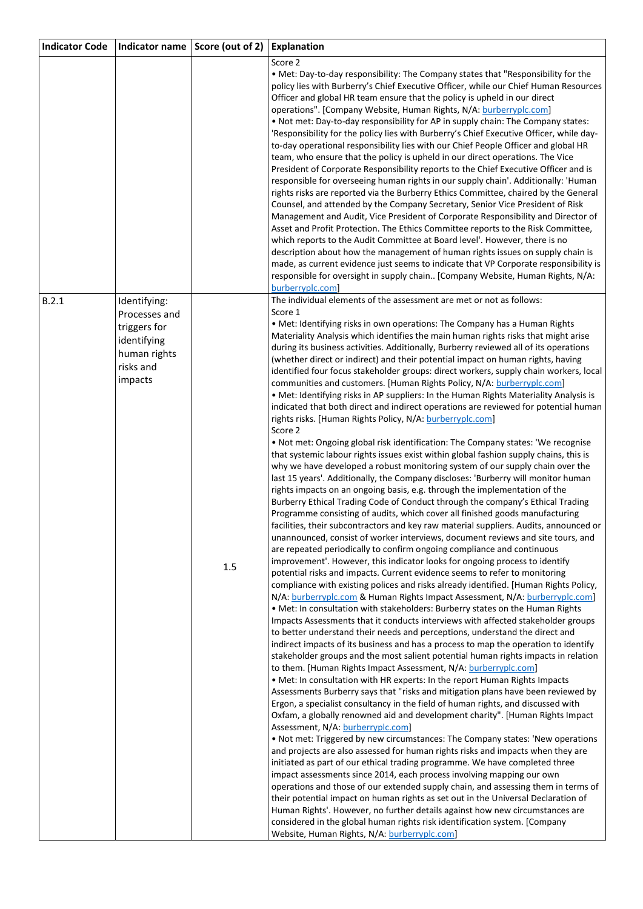| <b>Indicator Code</b> | Indicator name                                                                                       | Score (out of 2) | <b>Explanation</b>                                                                                                                                                                                                                                                                                                                                                                                                                                                                                                                                                                                                                                                                                                                                                                                                                                                                                                                                                                                                                                                                                                                                                                                                                                                                                                                                                                                                                                                                                                                                                                                                                                                                                                                                                                                                                                                                                                                                                                                                                                                                                                                                                                                                                                                                                                                                                                                                                                                                                                                                                                                                                                                                                                                                                                                                                                                                                                                                                                                                                                                                                                                                                                                                                                                                                                                                                                                                                                                                                                                                                                                                                                            |
|-----------------------|------------------------------------------------------------------------------------------------------|------------------|---------------------------------------------------------------------------------------------------------------------------------------------------------------------------------------------------------------------------------------------------------------------------------------------------------------------------------------------------------------------------------------------------------------------------------------------------------------------------------------------------------------------------------------------------------------------------------------------------------------------------------------------------------------------------------------------------------------------------------------------------------------------------------------------------------------------------------------------------------------------------------------------------------------------------------------------------------------------------------------------------------------------------------------------------------------------------------------------------------------------------------------------------------------------------------------------------------------------------------------------------------------------------------------------------------------------------------------------------------------------------------------------------------------------------------------------------------------------------------------------------------------------------------------------------------------------------------------------------------------------------------------------------------------------------------------------------------------------------------------------------------------------------------------------------------------------------------------------------------------------------------------------------------------------------------------------------------------------------------------------------------------------------------------------------------------------------------------------------------------------------------------------------------------------------------------------------------------------------------------------------------------------------------------------------------------------------------------------------------------------------------------------------------------------------------------------------------------------------------------------------------------------------------------------------------------------------------------------------------------------------------------------------------------------------------------------------------------------------------------------------------------------------------------------------------------------------------------------------------------------------------------------------------------------------------------------------------------------------------------------------------------------------------------------------------------------------------------------------------------------------------------------------------------------------------------------------------------------------------------------------------------------------------------------------------------------------------------------------------------------------------------------------------------------------------------------------------------------------------------------------------------------------------------------------------------------------------------------------------------------------------------------------------------|
|                       |                                                                                                      |                  | Score 2<br>• Met: Day-to-day responsibility: The Company states that "Responsibility for the<br>policy lies with Burberry's Chief Executive Officer, while our Chief Human Resources<br>Officer and global HR team ensure that the policy is upheld in our direct<br>operations". [Company Website, Human Rights, N/A: burberryplc.com]<br>. Not met: Day-to-day responsibility for AP in supply chain: The Company states:<br>'Responsibility for the policy lies with Burberry's Chief Executive Officer, while day-<br>to-day operational responsibility lies with our Chief People Officer and global HR<br>team, who ensure that the policy is upheld in our direct operations. The Vice<br>President of Corporate Responsibility reports to the Chief Executive Officer and is<br>responsible for overseeing human rights in our supply chain'. Additionally: 'Human<br>rights risks are reported via the Burberry Ethics Committee, chaired by the General<br>Counsel, and attended by the Company Secretary, Senior Vice President of Risk<br>Management and Audit, Vice President of Corporate Responsibility and Director of<br>Asset and Profit Protection. The Ethics Committee reports to the Risk Committee,<br>which reports to the Audit Committee at Board level'. However, there is no<br>description about how the management of human rights issues on supply chain is<br>made, as current evidence just seems to indicate that VP Corporate responsibility is<br>responsible for oversight in supply chain [Company Website, Human Rights, N/A:<br>burberryplc.com                                                                                                                                                                                                                                                                                                                                                                                                                                                                                                                                                                                                                                                                                                                                                                                                                                                                                                                                                                                                                                                                                                                                                                                                                                                                                                                                                                                                                                                                                                                                                                                                                                                                                                                                                                                                                                                                                                                                                                                                                                                                       |
| B.2.1                 | Identifying:<br>Processes and<br>triggers for<br>identifying<br>human rights<br>risks and<br>impacts | 1.5              | The individual elements of the assessment are met or not as follows:<br>Score 1<br>• Met: Identifying risks in own operations: The Company has a Human Rights<br>Materiality Analysis which identifies the main human rights risks that might arise<br>during its business activities. Additionally, Burberry reviewed all of its operations<br>(whether direct or indirect) and their potential impact on human rights, having<br>identified four focus stakeholder groups: direct workers, supply chain workers, local<br>communities and customers. [Human Rights Policy, N/A: burberryplc.com]<br>. Met: Identifying risks in AP suppliers: In the Human Rights Materiality Analysis is<br>indicated that both direct and indirect operations are reviewed for potential human<br>rights risks. [Human Rights Policy, N/A: burberryplc.com]<br>Score 2<br>. Not met: Ongoing global risk identification: The Company states: 'We recognise<br>that systemic labour rights issues exist within global fashion supply chains, this is<br>why we have developed a robust monitoring system of our supply chain over the<br>last 15 years'. Additionally, the Company discloses: 'Burberry will monitor human<br>rights impacts on an ongoing basis, e.g. through the implementation of the<br>Burberry Ethical Trading Code of Conduct through the company's Ethical Trading<br>Programme consisting of audits, which cover all finished goods manufacturing<br>facilities, their subcontractors and key raw material suppliers. Audits, announced or<br>unannounced, consist of worker interviews, document reviews and site tours, and<br>are repeated periodically to confirm ongoing compliance and continuous<br>improvement'. However, this indicator looks for ongoing process to identify<br>potential risks and impacts. Current evidence seems to refer to monitoring<br>compliance with existing polices and risks already identified. [Human Rights Policy,<br>N/A: burberryplc.com & Human Rights Impact Assessment, N/A: burberryplc.com]<br>. Met: In consultation with stakeholders: Burberry states on the Human Rights<br>Impacts Assessments that it conducts interviews with affected stakeholder groups<br>to better understand their needs and perceptions, understand the direct and<br>indirect impacts of its business and has a process to map the operation to identify<br>stakeholder groups and the most salient potential human rights impacts in relation<br>to them. [Human Rights Impact Assessment, N/A: burberryplc.com]<br>. Met: In consultation with HR experts: In the report Human Rights Impacts<br>Assessments Burberry says that "risks and mitigation plans have been reviewed by<br>Ergon, a specialist consultancy in the field of human rights, and discussed with<br>Oxfam, a globally renowned aid and development charity". [Human Rights Impact<br>Assessment, N/A: burberryplc.com]<br>. Not met: Triggered by new circumstances: The Company states: 'New operations<br>and projects are also assessed for human rights risks and impacts when they are<br>initiated as part of our ethical trading programme. We have completed three<br>impact assessments since 2014, each process involving mapping our own<br>operations and those of our extended supply chain, and assessing them in terms of<br>their potential impact on human rights as set out in the Universal Declaration of<br>Human Rights'. However, no further details against how new circumstances are<br>considered in the global human rights risk identification system. [Company<br>Website, Human Rights, N/A: burberryplc.com] |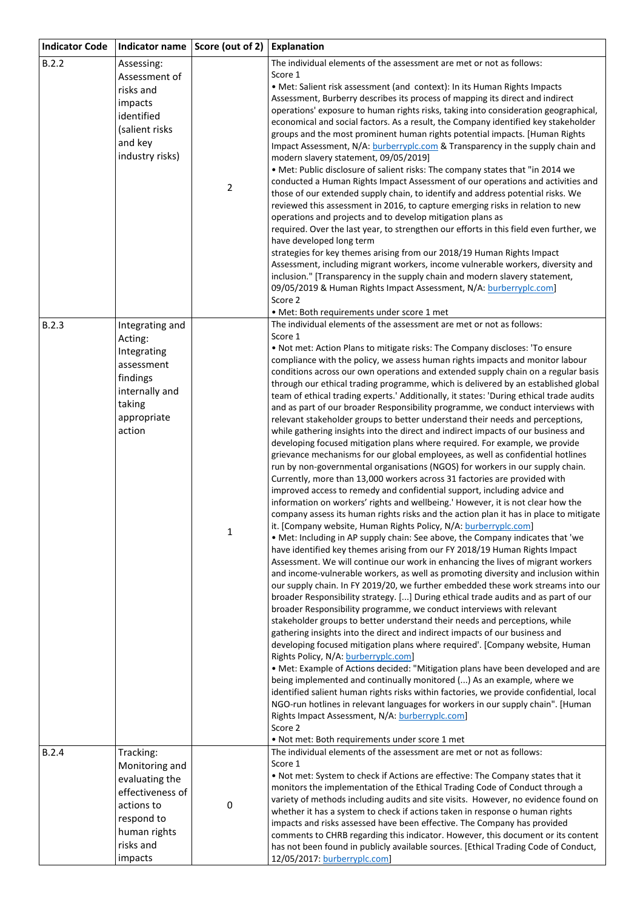| <b>Indicator Code</b> | Indicator name                                                                                                                        | Score (out of 2) | Explanation                                                                                                                                                                                                                                                                                                                                                                                                                                                                                                                                                                                                                                                                                                                                                                                                                                                                                                                                                                                                                                                                                                                                                                                                                                                                                                                                                                                                                                                                                                                                                                                                                                                                                                                                                                                                                                                                                                                                                                                                                                                                                                                                                                                                                                                                                                                                                                                                                                                                                                                                                                                                                                                                                                                                                                             |
|-----------------------|---------------------------------------------------------------------------------------------------------------------------------------|------------------|-----------------------------------------------------------------------------------------------------------------------------------------------------------------------------------------------------------------------------------------------------------------------------------------------------------------------------------------------------------------------------------------------------------------------------------------------------------------------------------------------------------------------------------------------------------------------------------------------------------------------------------------------------------------------------------------------------------------------------------------------------------------------------------------------------------------------------------------------------------------------------------------------------------------------------------------------------------------------------------------------------------------------------------------------------------------------------------------------------------------------------------------------------------------------------------------------------------------------------------------------------------------------------------------------------------------------------------------------------------------------------------------------------------------------------------------------------------------------------------------------------------------------------------------------------------------------------------------------------------------------------------------------------------------------------------------------------------------------------------------------------------------------------------------------------------------------------------------------------------------------------------------------------------------------------------------------------------------------------------------------------------------------------------------------------------------------------------------------------------------------------------------------------------------------------------------------------------------------------------------------------------------------------------------------------------------------------------------------------------------------------------------------------------------------------------------------------------------------------------------------------------------------------------------------------------------------------------------------------------------------------------------------------------------------------------------------------------------------------------------------------------------------------------------|
| B.2.2                 | Assessing:<br>Assessment of<br>risks and<br>impacts<br>identified<br>(salient risks<br>and key<br>industry risks)                     | $\mathbf 2$      | The individual elements of the assessment are met or not as follows:<br>Score 1<br>• Met: Salient risk assessment (and context): In its Human Rights Impacts<br>Assessment, Burberry describes its process of mapping its direct and indirect<br>operations' exposure to human rights risks, taking into consideration geographical,<br>economical and social factors. As a result, the Company identified key stakeholder<br>groups and the most prominent human rights potential impacts. [Human Rights<br>Impact Assessment, N/A: burberryplc.com & Transparency in the supply chain and<br>modern slavery statement, 09/05/2019]<br>. Met: Public disclosure of salient risks: The company states that "in 2014 we<br>conducted a Human Rights Impact Assessment of our operations and activities and<br>those of our extended supply chain, to identify and address potential risks. We<br>reviewed this assessment in 2016, to capture emerging risks in relation to new<br>operations and projects and to develop mitigation plans as<br>required. Over the last year, to strengthen our efforts in this field even further, we<br>have developed long term<br>strategies for key themes arising from our 2018/19 Human Rights Impact<br>Assessment, including migrant workers, income vulnerable workers, diversity and<br>inclusion." [Transparency in the supply chain and modern slavery statement,<br>09/05/2019 & Human Rights Impact Assessment, N/A: burberryplc.com]<br>Score 2<br>• Met: Both requirements under score 1 met                                                                                                                                                                                                                                                                                                                                                                                                                                                                                                                                                                                                                                                                                                                                                                                                                                                                                                                                                                                                                                                                                                                                                                                                                                           |
| B.2.3                 | Integrating and<br>Acting:<br>Integrating<br>assessment<br>findings<br>internally and<br>taking<br>appropriate<br>action              | $\mathbf 1$      | The individual elements of the assessment are met or not as follows:<br>Score 1<br>. Not met: Action Plans to mitigate risks: The Company discloses: 'To ensure<br>compliance with the policy, we assess human rights impacts and monitor labour<br>conditions across our own operations and extended supply chain on a regular basis<br>through our ethical trading programme, which is delivered by an established global<br>team of ethical trading experts.' Additionally, it states: 'During ethical trade audits<br>and as part of our broader Responsibility programme, we conduct interviews with<br>relevant stakeholder groups to better understand their needs and perceptions,<br>while gathering insights into the direct and indirect impacts of our business and<br>developing focused mitigation plans where required. For example, we provide<br>grievance mechanisms for our global employees, as well as confidential hotlines<br>run by non-governmental organisations (NGOS) for workers in our supply chain.<br>Currently, more than 13,000 workers across 31 factories are provided with<br>improved access to remedy and confidential support, including advice and<br>information on workers' rights and wellbeing.' However, it is not clear how the<br>company assess its human rights risks and the action plan it has in place to mitigate<br>it. [Company website, Human Rights Policy, N/A: burberryplc.com]<br>. Met: Including in AP supply chain: See above, the Company indicates that 'we<br>have identified key themes arising from our FY 2018/19 Human Rights Impact<br>Assessment. We will continue our work in enhancing the lives of migrant workers<br>and income-vulnerable workers, as well as promoting diversity and inclusion within<br>our supply chain. In FY 2019/20, we further embedded these work streams into our<br>broader Responsibility strategy. [] During ethical trade audits and as part of our<br>broader Responsibility programme, we conduct interviews with relevant<br>stakeholder groups to better understand their needs and perceptions, while<br>gathering insights into the direct and indirect impacts of our business and<br>developing focused mitigation plans where required'. [Company website, Human<br>Rights Policy, N/A: burberryplc.com]<br>. Met: Example of Actions decided: "Mitigation plans have been developed and are<br>being implemented and continually monitored () As an example, where we<br>identified salient human rights risks within factories, we provide confidential, local<br>NGO-run hotlines in relevant languages for workers in our supply chain". [Human<br>Rights Impact Assessment, N/A: burberryplc.com]<br>Score 2<br>. Not met: Both requirements under score 1 met |
| B.2.4                 | Tracking:<br>Monitoring and<br>evaluating the<br>effectiveness of<br>actions to<br>respond to<br>human rights<br>risks and<br>impacts | 0                | The individual elements of the assessment are met or not as follows:<br>Score 1<br>. Not met: System to check if Actions are effective: The Company states that it<br>monitors the implementation of the Ethical Trading Code of Conduct through a<br>variety of methods including audits and site visits. However, no evidence found on<br>whether it has a system to check if actions taken in response o human rights<br>impacts and risks assessed have been effective. The Company has provided<br>comments to CHRB regarding this indicator. However, this document or its content<br>has not been found in publicly available sources. [Ethical Trading Code of Conduct,<br>12/05/2017: burberryplc.com]                                                                                                                                                                                                                                                                                                                                                                                                                                                                                                                                                                                                                                                                                                                                                                                                                                                                                                                                                                                                                                                                                                                                                                                                                                                                                                                                                                                                                                                                                                                                                                                                                                                                                                                                                                                                                                                                                                                                                                                                                                                                         |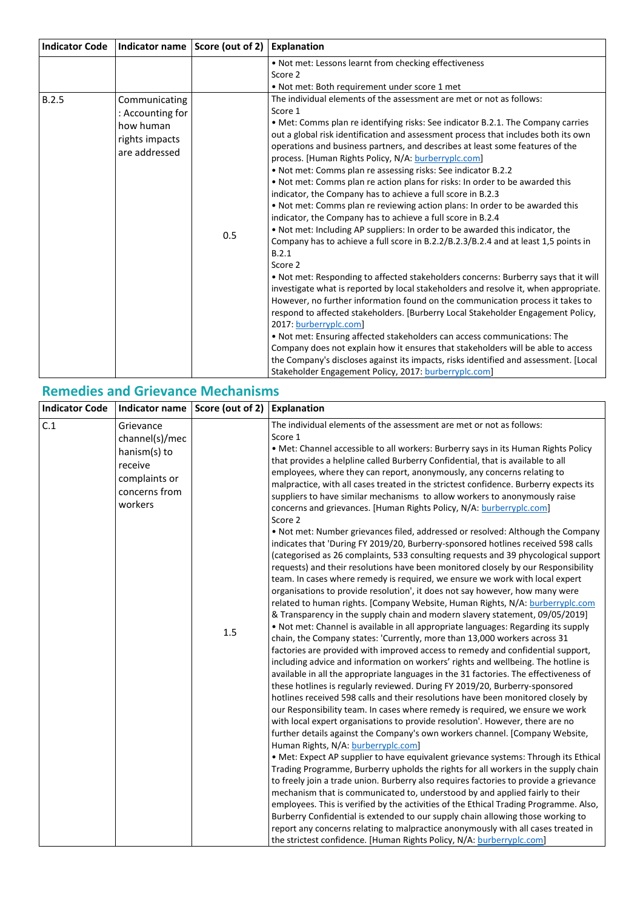|                                                                                   |     | <b>Explanation</b>                                                                                                                                                                                                                                                                                                                                                                                                                                                                                                                                                                                                                                                                                                                                                                                                                                                                                                                                                                                                                                                                                                                                                                                                                                                                                                                                                                                                                                                                                                                                                                                   |
|-----------------------------------------------------------------------------------|-----|------------------------------------------------------------------------------------------------------------------------------------------------------------------------------------------------------------------------------------------------------------------------------------------------------------------------------------------------------------------------------------------------------------------------------------------------------------------------------------------------------------------------------------------------------------------------------------------------------------------------------------------------------------------------------------------------------------------------------------------------------------------------------------------------------------------------------------------------------------------------------------------------------------------------------------------------------------------------------------------------------------------------------------------------------------------------------------------------------------------------------------------------------------------------------------------------------------------------------------------------------------------------------------------------------------------------------------------------------------------------------------------------------------------------------------------------------------------------------------------------------------------------------------------------------------------------------------------------------|
|                                                                                   |     | . Not met: Lessons learnt from checking effectiveness                                                                                                                                                                                                                                                                                                                                                                                                                                                                                                                                                                                                                                                                                                                                                                                                                                                                                                                                                                                                                                                                                                                                                                                                                                                                                                                                                                                                                                                                                                                                                |
|                                                                                   |     | Score 2                                                                                                                                                                                                                                                                                                                                                                                                                                                                                                                                                                                                                                                                                                                                                                                                                                                                                                                                                                                                                                                                                                                                                                                                                                                                                                                                                                                                                                                                                                                                                                                              |
|                                                                                   |     | . Not met: Both requirement under score 1 met                                                                                                                                                                                                                                                                                                                                                                                                                                                                                                                                                                                                                                                                                                                                                                                                                                                                                                                                                                                                                                                                                                                                                                                                                                                                                                                                                                                                                                                                                                                                                        |
| Communicating<br>: Accounting for<br>how human<br>rights impacts<br>are addressed | 0.5 | The individual elements of the assessment are met or not as follows:<br>Score 1<br>• Met: Comms plan re identifying risks: See indicator B.2.1. The Company carries<br>out a global risk identification and assessment process that includes both its own<br>operations and business partners, and describes at least some features of the<br>process. [Human Rights Policy, N/A: burberryplc.com]<br>. Not met: Comms plan re assessing risks: See indicator B.2.2<br>. Not met: Comms plan re action plans for risks: In order to be awarded this<br>indicator, the Company has to achieve a full score in B.2.3<br>. Not met: Comms plan re reviewing action plans: In order to be awarded this<br>indicator, the Company has to achieve a full score in B.2.4<br>. Not met: Including AP suppliers: In order to be awarded this indicator, the<br>Company has to achieve a full score in B.2.2/B.2.3/B.2.4 and at least 1,5 points in<br>B.2.1<br>Score 2<br>. Not met: Responding to affected stakeholders concerns: Burberry says that it will<br>investigate what is reported by local stakeholders and resolve it, when appropriate.<br>However, no further information found on the communication process it takes to<br>respond to affected stakeholders. [Burberry Local Stakeholder Engagement Policy,<br>2017: burberryplc.com]<br>. Not met: Ensuring affected stakeholders can access communications: The<br>Company does not explain how it ensures that stakeholders will be able to access<br>the Company's discloses against its impacts, risks identified and assessment. [Local |
|                                                                                   |     | Indicator name Score (out of 2)                                                                                                                                                                                                                                                                                                                                                                                                                                                                                                                                                                                                                                                                                                                                                                                                                                                                                                                                                                                                                                                                                                                                                                                                                                                                                                                                                                                                                                                                                                                                                                      |

### **Remedies and Grievance Mechanisms**

| <b>Indicator Code</b> |                                                                                                     | Indicator name Score (out of 2) | <b>Explanation</b>                                                                                                                                                                                                                                                                                                                                                                                                                                                                                                                                                                                                                                                                                                                                                                                                                                                                                                                                                                                                                                                                                                                                                                                                                                                                                                                                                                                                                                                                                                                                                                                                                                                                                                                                                                                                                                                                                                                                                                                                                                                                                                                                                                                                                                                                                                                                                                                                                                                                                                                                                                                                                                                                                                                                                                                                                                                               |
|-----------------------|-----------------------------------------------------------------------------------------------------|---------------------------------|----------------------------------------------------------------------------------------------------------------------------------------------------------------------------------------------------------------------------------------------------------------------------------------------------------------------------------------------------------------------------------------------------------------------------------------------------------------------------------------------------------------------------------------------------------------------------------------------------------------------------------------------------------------------------------------------------------------------------------------------------------------------------------------------------------------------------------------------------------------------------------------------------------------------------------------------------------------------------------------------------------------------------------------------------------------------------------------------------------------------------------------------------------------------------------------------------------------------------------------------------------------------------------------------------------------------------------------------------------------------------------------------------------------------------------------------------------------------------------------------------------------------------------------------------------------------------------------------------------------------------------------------------------------------------------------------------------------------------------------------------------------------------------------------------------------------------------------------------------------------------------------------------------------------------------------------------------------------------------------------------------------------------------------------------------------------------------------------------------------------------------------------------------------------------------------------------------------------------------------------------------------------------------------------------------------------------------------------------------------------------------------------------------------------------------------------------------------------------------------------------------------------------------------------------------------------------------------------------------------------------------------------------------------------------------------------------------------------------------------------------------------------------------------------------------------------------------------------------------------------------------|
| C.1                   | Grievance<br>channel(s)/mec<br>hanism(s) to<br>receive<br>complaints or<br>concerns from<br>workers | 1.5                             | The individual elements of the assessment are met or not as follows:<br>Score 1<br>• Met: Channel accessible to all workers: Burberry says in its Human Rights Policy<br>that provides a helpline called Burberry Confidential, that is available to all<br>employees, where they can report, anonymously, any concerns relating to<br>malpractice, with all cases treated in the strictest confidence. Burberry expects its<br>suppliers to have similar mechanisms to allow workers to anonymously raise<br>concerns and grievances. [Human Rights Policy, N/A: burberryplc.com]<br>Score 2<br>. Not met: Number grievances filed, addressed or resolved: Although the Company<br>indicates that 'During FY 2019/20, Burberry-sponsored hotlines received 598 calls<br>(categorised as 26 complaints, 533 consulting requests and 39 phycological support<br>requests) and their resolutions have been monitored closely by our Responsibility<br>team. In cases where remedy is required, we ensure we work with local expert<br>organisations to provide resolution', it does not say however, how many were<br>related to human rights. [Company Website, Human Rights, N/A: burberryplc.com<br>& Transparency in the supply chain and modern slavery statement, 09/05/2019]<br>. Not met: Channel is available in all appropriate languages: Regarding its supply<br>chain, the Company states: 'Currently, more than 13,000 workers across 31<br>factories are provided with improved access to remedy and confidential support,<br>including advice and information on workers' rights and wellbeing. The hotline is<br>available in all the appropriate languages in the 31 factories. The effectiveness of<br>these hotlines is regularly reviewed. During FY 2019/20, Burberry-sponsored<br>hotlines received 598 calls and their resolutions have been monitored closely by<br>our Responsibility team. In cases where remedy is required, we ensure we work<br>with local expert organisations to provide resolution'. However, there are no<br>further details against the Company's own workers channel. [Company Website,<br>Human Rights, N/A: burberryplc.com]<br>• Met: Expect AP supplier to have equivalent grievance systems: Through its Ethical<br>Trading Programme, Burberry upholds the rights for all workers in the supply chain<br>to freely join a trade union. Burberry also requires factories to provide a grievance<br>mechanism that is communicated to, understood by and applied fairly to their<br>employees. This is verified by the activities of the Ethical Trading Programme. Also,<br>Burberry Confidential is extended to our supply chain allowing those working to<br>report any concerns relating to malpractice anonymously with all cases treated in<br>the strictest confidence. [Human Rights Policy, N/A: burberryplc.com] |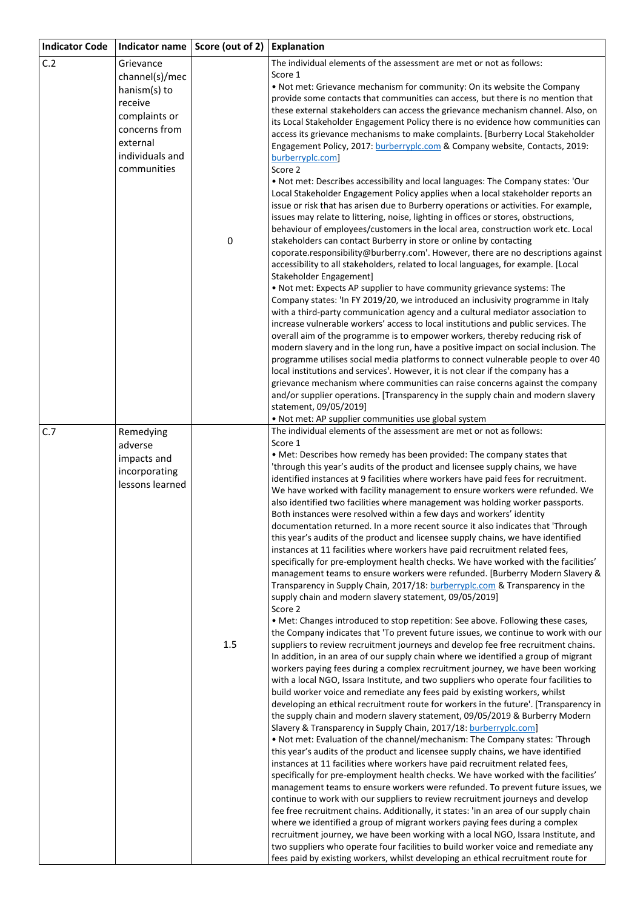| <b>Indicator Code</b> | Indicator name                 | Score (out of 2) | <b>Explanation</b>                                                                                                                                                      |
|-----------------------|--------------------------------|------------------|-------------------------------------------------------------------------------------------------------------------------------------------------------------------------|
| C.2                   | Grievance                      |                  | The individual elements of the assessment are met or not as follows:                                                                                                    |
|                       | channel(s)/mec                 |                  | Score 1                                                                                                                                                                 |
|                       | hanism(s) to                   |                  | . Not met: Grievance mechanism for community: On its website the Company<br>provide some contacts that communities can access, but there is no mention that             |
|                       | receive                        |                  | these external stakeholders can access the grievance mechanism channel. Also, on                                                                                        |
|                       | complaints or                  |                  | its Local Stakeholder Engagement Policy there is no evidence how communities can                                                                                        |
|                       | concerns from                  |                  | access its grievance mechanisms to make complaints. [Burberry Local Stakeholder                                                                                         |
|                       | external                       |                  | Engagement Policy, 2017: burberryplc.com & Company website, Contacts, 2019:                                                                                             |
|                       | individuals and<br>communities |                  | burberryplc.com                                                                                                                                                         |
|                       |                                |                  | Score 2<br>. Not met: Describes accessibility and local languages: The Company states: 'Our                                                                             |
|                       |                                |                  | Local Stakeholder Engagement Policy applies when a local stakeholder reports an                                                                                         |
|                       |                                |                  | issue or risk that has arisen due to Burberry operations or activities. For example,                                                                                    |
|                       |                                |                  | issues may relate to littering, noise, lighting in offices or stores, obstructions,                                                                                     |
|                       |                                |                  | behaviour of employees/customers in the local area, construction work etc. Local                                                                                        |
|                       |                                | 0                | stakeholders can contact Burberry in store or online by contacting<br>coporate.responsibility@burberry.com'. However, there are no descriptions against                 |
|                       |                                |                  | accessibility to all stakeholders, related to local languages, for example. [Local                                                                                      |
|                       |                                |                  | Stakeholder Engagement]                                                                                                                                                 |
|                       |                                |                  | . Not met: Expects AP supplier to have community grievance systems: The                                                                                                 |
|                       |                                |                  | Company states: 'In FY 2019/20, we introduced an inclusivity programme in Italy                                                                                         |
|                       |                                |                  | with a third-party communication agency and a cultural mediator association to<br>increase vulnerable workers' access to local institutions and public services. The    |
|                       |                                |                  | overall aim of the programme is to empower workers, thereby reducing risk of                                                                                            |
|                       |                                |                  | modern slavery and in the long run, have a positive impact on social inclusion. The                                                                                     |
|                       |                                |                  | programme utilises social media platforms to connect vulnerable people to over 40                                                                                       |
|                       |                                |                  | local institutions and services'. However, it is not clear if the company has a                                                                                         |
|                       |                                |                  | grievance mechanism where communities can raise concerns against the company                                                                                            |
|                       |                                |                  | and/or supplier operations. [Transparency in the supply chain and modern slavery<br>statement, 09/05/2019]                                                              |
|                       |                                |                  | . Not met: AP supplier communities use global system                                                                                                                    |
| C.7                   | Remedying                      |                  | The individual elements of the assessment are met or not as follows:                                                                                                    |
|                       | adverse                        |                  | Score 1                                                                                                                                                                 |
|                       | impacts and                    |                  | . Met: Describes how remedy has been provided: The company states that<br>'through this year's audits of the product and licensee supply chains, we have                |
|                       | incorporating                  |                  | identified instances at 9 facilities where workers have paid fees for recruitment.                                                                                      |
|                       | lessons learned                |                  | We have worked with facility management to ensure workers were refunded. We                                                                                             |
|                       |                                |                  | also identified two facilities where management was holding worker passports.                                                                                           |
|                       |                                |                  | Both instances were resolved within a few days and workers' identity                                                                                                    |
|                       |                                |                  | documentation returned. In a more recent source it also indicates that 'Through<br>this year's audits of the product and licensee supply chains, we have identified     |
|                       |                                |                  | instances at 11 facilities where workers have paid recruitment related fees,                                                                                            |
|                       |                                |                  | specifically for pre-employment health checks. We have worked with the facilities'                                                                                      |
|                       |                                |                  | management teams to ensure workers were refunded. [Burberry Modern Slavery &                                                                                            |
|                       |                                |                  | Transparency in Supply Chain, 2017/18: burberryplc.com & Transparency in the<br>supply chain and modern slavery statement, 09/05/2019]                                  |
|                       |                                |                  | Score 2                                                                                                                                                                 |
|                       |                                |                  | • Met: Changes introduced to stop repetition: See above. Following these cases,                                                                                         |
|                       |                                |                  | the Company indicates that 'To prevent future issues, we continue to work with our                                                                                      |
|                       |                                | 1.5              | suppliers to review recruitment journeys and develop fee free recruitment chains.                                                                                       |
|                       |                                |                  | In addition, in an area of our supply chain where we identified a group of migrant<br>workers paying fees during a complex recruitment journey, we have been working    |
|                       |                                |                  | with a local NGO, Issara Institute, and two suppliers who operate four facilities to                                                                                    |
|                       |                                |                  | build worker voice and remediate any fees paid by existing workers, whilst                                                                                              |
|                       |                                |                  | developing an ethical recruitment route for workers in the future'. [Transparency in                                                                                    |
|                       |                                |                  | the supply chain and modern slavery statement, 09/05/2019 & Burberry Modern                                                                                             |
|                       |                                |                  | Slavery & Transparency in Supply Chain, 2017/18: burberryplc.com]<br>. Not met: Evaluation of the channel/mechanism: The Company states: 'Through                       |
|                       |                                |                  | this year's audits of the product and licensee supply chains, we have identified                                                                                        |
|                       |                                |                  | instances at 11 facilities where workers have paid recruitment related fees,                                                                                            |
|                       |                                |                  | specifically for pre-employment health checks. We have worked with the facilities'                                                                                      |
|                       |                                |                  | management teams to ensure workers were refunded. To prevent future issues, we                                                                                          |
|                       |                                |                  | continue to work with our suppliers to review recruitment journeys and develop<br>fee free recruitment chains. Additionally, it states: 'in an area of our supply chain |
|                       |                                |                  | where we identified a group of migrant workers paying fees during a complex                                                                                             |
|                       |                                |                  | recruitment journey, we have been working with a local NGO, Issara Institute, and                                                                                       |
|                       |                                |                  | two suppliers who operate four facilities to build worker voice and remediate any                                                                                       |
|                       |                                |                  | fees paid by existing workers, whilst developing an ethical recruitment route for                                                                                       |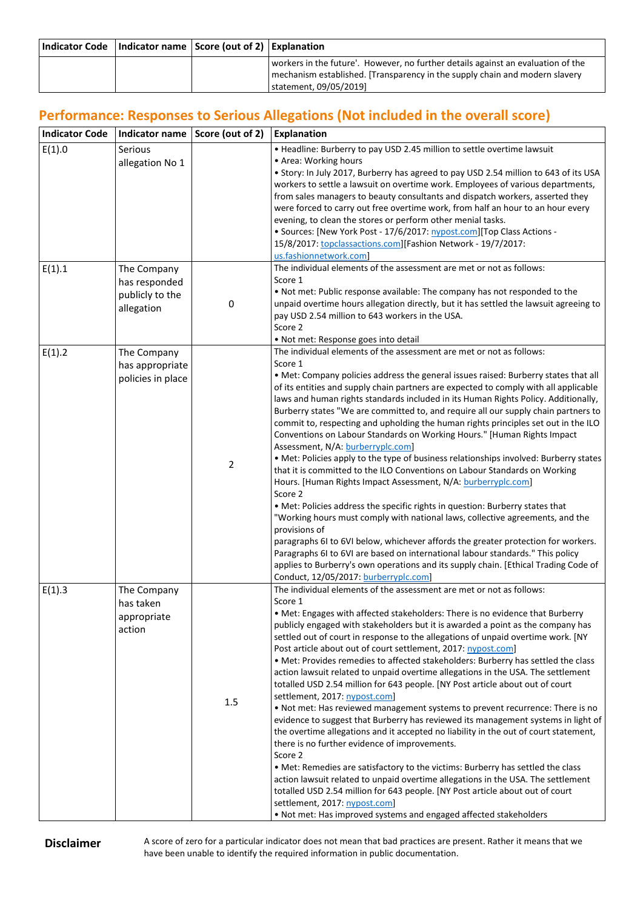| Indicator Code   Indicator name   Score (out of 2)   Explanation |                                                                                  |
|------------------------------------------------------------------|----------------------------------------------------------------------------------|
|                                                                  | workers in the future'. However, no further details against an evaluation of the |
|                                                                  | mechanism established. [Transparency in the supply chain and modern slavery      |
|                                                                  | I statement, 09/05/2019]                                                         |

## **Performance: Responses to Serious Allegations (Not included in the overall score)**

| <b>Indicator Code</b> | Indicator name                                                | Score (out of 2) | Explanation                                                                                                                                                                                                                                                                                                                                                                                                                                                                                                                                                                                                                                                                                                                                                                                                                                                                                                                                                                                                                                                                                                                                                                                                                                                                                                                                                                                   |
|-----------------------|---------------------------------------------------------------|------------------|-----------------------------------------------------------------------------------------------------------------------------------------------------------------------------------------------------------------------------------------------------------------------------------------------------------------------------------------------------------------------------------------------------------------------------------------------------------------------------------------------------------------------------------------------------------------------------------------------------------------------------------------------------------------------------------------------------------------------------------------------------------------------------------------------------------------------------------------------------------------------------------------------------------------------------------------------------------------------------------------------------------------------------------------------------------------------------------------------------------------------------------------------------------------------------------------------------------------------------------------------------------------------------------------------------------------------------------------------------------------------------------------------|
| E(1).0                | Serious<br>allegation No 1                                    |                  | • Headline: Burberry to pay USD 2.45 million to settle overtime lawsuit<br>• Area: Working hours<br>• Story: In July 2017, Burberry has agreed to pay USD 2.54 million to 643 of its USA<br>workers to settle a lawsuit on overtime work. Employees of various departments,<br>from sales managers to beauty consultants and dispatch workers, asserted they<br>were forced to carry out free overtime work, from half an hour to an hour every<br>evening, to clean the stores or perform other menial tasks.<br>• Sources: [New York Post - 17/6/2017: nypost.com][Top Class Actions -<br>15/8/2017: topclassactions.com][Fashion Network - 19/7/2017:<br>us.fashionnetwork.com]                                                                                                                                                                                                                                                                                                                                                                                                                                                                                                                                                                                                                                                                                                            |
| E(1).1                | The Company<br>has responded<br>publicly to the<br>allegation | 0                | The individual elements of the assessment are met or not as follows:<br>Score 1<br>. Not met: Public response available: The company has not responded to the<br>unpaid overtime hours allegation directly, but it has settled the lawsuit agreeing to<br>pay USD 2.54 million to 643 workers in the USA.<br>Score 2<br>. Not met: Response goes into detail                                                                                                                                                                                                                                                                                                                                                                                                                                                                                                                                                                                                                                                                                                                                                                                                                                                                                                                                                                                                                                  |
| E(1).2                | The Company<br>has appropriate<br>policies in place           | 2                | The individual elements of the assessment are met or not as follows:<br>Score 1<br>• Met: Company policies address the general issues raised: Burberry states that all<br>of its entities and supply chain partners are expected to comply with all applicable<br>laws and human rights standards included in its Human Rights Policy. Additionally,<br>Burberry states "We are committed to, and require all our supply chain partners to<br>commit to, respecting and upholding the human rights principles set out in the ILO<br>Conventions on Labour Standards on Working Hours." [Human Rights Impact<br>Assessment, N/A: burberryplc.com]<br>• Met: Policies apply to the type of business relationships involved: Burberry states<br>that it is committed to the ILO Conventions on Labour Standards on Working<br>Hours. [Human Rights Impact Assessment, N/A: burberryplc.com]<br>Score 2<br>• Met: Policies address the specific rights in question: Burberry states that<br>"Working hours must comply with national laws, collective agreements, and the<br>provisions of<br>paragraphs 6I to 6VI below, whichever affords the greater protection for workers.<br>Paragraphs 6I to 6VI are based on international labour standards." This policy<br>applies to Burberry's own operations and its supply chain. [Ethical Trading Code of<br>Conduct, 12/05/2017: burberryplc.com] |
| E(1).3                | The Company<br>has taken<br>appropriate<br>action             | 1.5              | The individual elements of the assessment are met or not as follows:<br>Score 1<br>• Met: Engages with affected stakeholders: There is no evidence that Burberry<br>publicly engaged with stakeholders but it is awarded a point as the company has<br>settled out of court in response to the allegations of unpaid overtime work. [NY<br>Post article about out of court settlement, 2017: nypost.com]<br>• Met: Provides remedies to affected stakeholders: Burberry has settled the class<br>action lawsuit related to unpaid overtime allegations in the USA. The settlement<br>totalled USD 2.54 million for 643 people. [NY Post article about out of court<br>settlement, 2017: nypost.com]<br>. Not met: Has reviewed management systems to prevent recurrence: There is no<br>evidence to suggest that Burberry has reviewed its management systems in light of<br>the overtime allegations and it accepted no liability in the out of court statement,<br>there is no further evidence of improvements.<br>Score 2<br>• Met: Remedies are satisfactory to the victims: Burberry has settled the class<br>action lawsuit related to unpaid overtime allegations in the USA. The settlement<br>totalled USD 2.54 million for 643 people. [NY Post article about out of court<br>settlement, 2017: nypost.com]<br>. Not met: Has improved systems and engaged affected stakeholders   |

**Disclaimer** A score of zero for a particular indicator does not mean that bad practices are present. Rather it means that we have been unable to identify the required information in public documentation.